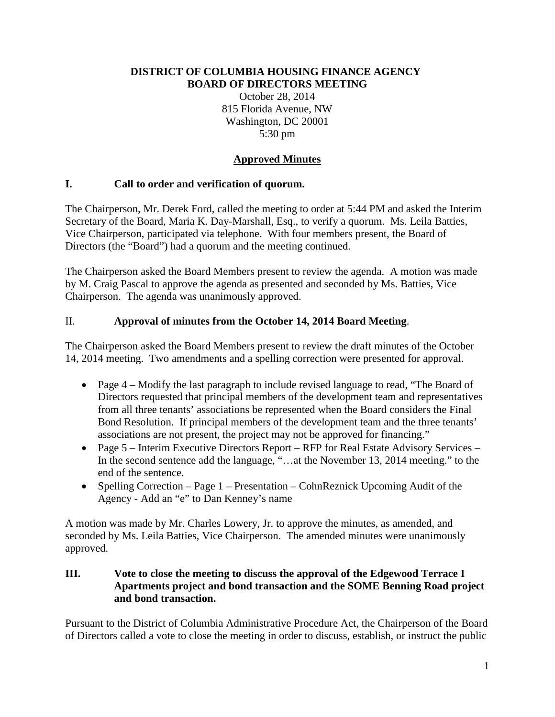#### **DISTRICT OF COLUMBIA HOUSING FINANCE AGENCY BOARD OF DIRECTORS MEETING**

October 28, 2014 815 Florida Avenue, NW Washington, DC 20001 5:30 pm

# **Approved Minutes**

# **I. Call to order and verification of quorum.**

The Chairperson, Mr. Derek Ford, called the meeting to order at 5:44 PM and asked the Interim Secretary of the Board, Maria K. Day-Marshall, Esq., to verify a quorum. Ms. Leila Batties, Vice Chairperson, participated via telephone. With four members present, the Board of Directors (the "Board") had a quorum and the meeting continued.

The Chairperson asked the Board Members present to review the agenda. A motion was made by M. Craig Pascal to approve the agenda as presented and seconded by Ms. Batties, Vice Chairperson. The agenda was unanimously approved.

# II. **Approval of minutes from the October 14, 2014 Board Meeting**.

The Chairperson asked the Board Members present to review the draft minutes of the October 14, 2014 meeting. Two amendments and a spelling correction were presented for approval.

- Page 4 Modify the last paragraph to include revised language to read, "The Board of Directors requested that principal members of the development team and representatives from all three tenants' associations be represented when the Board considers the Final Bond Resolution. If principal members of the development team and the three tenants' associations are not present, the project may not be approved for financing."
- Page 5 Interim Executive Directors Report RFP for Real Estate Advisory Services In the second sentence add the language, "...at the November 13, 2014 meeting." to the end of the sentence.
- Spelling Correction Page 1 Presentation CohnReznick Upcoming Audit of the Agency - Add an "e" to Dan Kenney's name

A motion was made by Mr. Charles Lowery, Jr. to approve the minutes, as amended, and seconded by Ms. Leila Batties, Vice Chairperson. The amended minutes were unanimously approved.

#### **III. Vote to close the meeting to discuss the approval of the Edgewood Terrace I Apartments project and bond transaction and the SOME Benning Road project and bond transaction.**

Pursuant to the District of Columbia Administrative Procedure Act, the Chairperson of the Board of Directors called a vote to close the meeting in order to discuss, establish, or instruct the public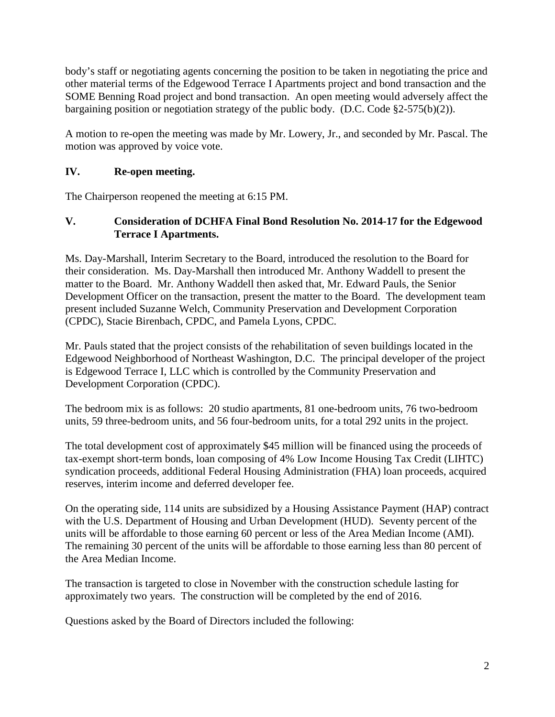body's staff or negotiating agents concerning the position to be taken in negotiating the price and other material terms of the Edgewood Terrace I Apartments project and bond transaction and the SOME Benning Road project and bond transaction. An open meeting would adversely affect the bargaining position or negotiation strategy of the public body. (D.C. Code §2-575(b)(2)).

A motion to re-open the meeting was made by Mr. Lowery, Jr., and seconded by Mr. Pascal. The motion was approved by voice vote.

# **IV. Re-open meeting.**

The Chairperson reopened the meeting at 6:15 PM.

### **V. Consideration of DCHFA Final Bond Resolution No. 2014-17 for the Edgewood Terrace I Apartments.**

Ms. Day-Marshall, Interim Secretary to the Board, introduced the resolution to the Board for their consideration. Ms. Day-Marshall then introduced Mr. Anthony Waddell to present the matter to the Board. Mr. Anthony Waddell then asked that, Mr. Edward Pauls, the Senior Development Officer on the transaction, present the matter to the Board. The development team present included Suzanne Welch, Community Preservation and Development Corporation (CPDC), Stacie Birenbach, CPDC, and Pamela Lyons, CPDC.

Mr. Pauls stated that the project consists of the rehabilitation of seven buildings located in the Edgewood Neighborhood of Northeast Washington, D.C. The principal developer of the project is Edgewood Terrace I, LLC which is controlled by the Community Preservation and Development Corporation (CPDC).

The bedroom mix is as follows: 20 studio apartments, 81 one-bedroom units, 76 two-bedroom units, 59 three-bedroom units, and 56 four-bedroom units, for a total 292 units in the project.

The total development cost of approximately \$45 million will be financed using the proceeds of tax-exempt short-term bonds, loan composing of 4% Low Income Housing Tax Credit (LIHTC) syndication proceeds, additional Federal Housing Administration (FHA) loan proceeds, acquired reserves, interim income and deferred developer fee.

On the operating side, 114 units are subsidized by a Housing Assistance Payment (HAP) contract with the U.S. Department of Housing and Urban Development (HUD). Seventy percent of the units will be affordable to those earning 60 percent or less of the Area Median Income (AMI). The remaining 30 percent of the units will be affordable to those earning less than 80 percent of the Area Median Income.

The transaction is targeted to close in November with the construction schedule lasting for approximately two years. The construction will be completed by the end of 2016.

Questions asked by the Board of Directors included the following: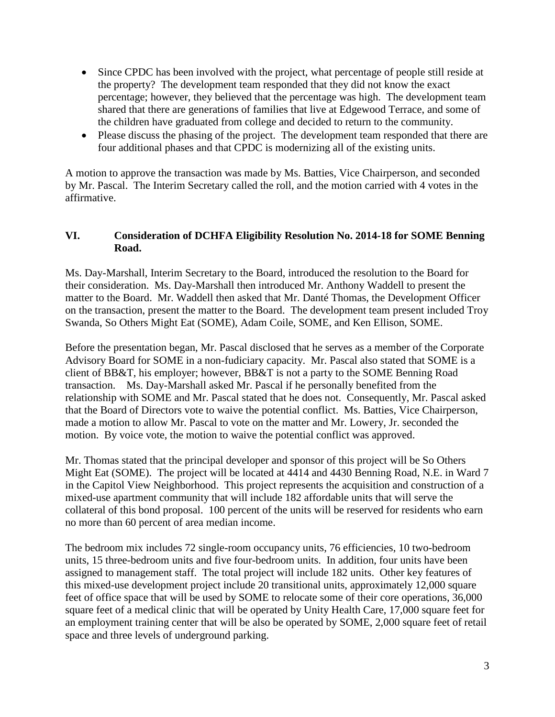- Since CPDC has been involved with the project, what percentage of people still reside at the property? The development team responded that they did not know the exact percentage; however, they believed that the percentage was high. The development team shared that there are generations of families that live at Edgewood Terrace, and some of the children have graduated from college and decided to return to the community.
- Please discuss the phasing of the project. The development team responded that there are four additional phases and that CPDC is modernizing all of the existing units.

A motion to approve the transaction was made by Ms. Batties, Vice Chairperson, and seconded by Mr. Pascal. The Interim Secretary called the roll, and the motion carried with 4 votes in the affirmative.

# **VI. Consideration of DCHFA Eligibility Resolution No. 2014-18 for SOME Benning Road.**

Ms. Day-Marshall, Interim Secretary to the Board, introduced the resolution to the Board for their consideration. Ms. Day-Marshall then introduced Mr. Anthony Waddell to present the matter to the Board. Mr. Waddell then asked that Mr. Danté Thomas, the Development Officer on the transaction, present the matter to the Board. The development team present included Troy Swanda, So Others Might Eat (SOME), Adam Coile, SOME, and Ken Ellison, SOME.

Before the presentation began, Mr. Pascal disclosed that he serves as a member of the Corporate Advisory Board for SOME in a non-fudiciary capacity. Mr. Pascal also stated that SOME is a client of BB&T, his employer; however, BB&T is not a party to the SOME Benning Road transaction. Ms. Day-Marshall asked Mr. Pascal if he personally benefited from the relationship with SOME and Mr. Pascal stated that he does not. Consequently, Mr. Pascal asked that the Board of Directors vote to waive the potential conflict. Ms. Batties, Vice Chairperson, made a motion to allow Mr. Pascal to vote on the matter and Mr. Lowery, Jr. seconded the motion. By voice vote, the motion to waive the potential conflict was approved.

Mr. Thomas stated that the principal developer and sponsor of this project will be So Others Might Eat (SOME). The project will be located at 4414 and 4430 Benning Road, N.E. in Ward 7 in the Capitol View Neighborhood. This project represents the acquisition and construction of a mixed-use apartment community that will include 182 affordable units that will serve the collateral of this bond proposal. 100 percent of the units will be reserved for residents who earn no more than 60 percent of area median income.

The bedroom mix includes 72 single-room occupancy units, 76 efficiencies, 10 two-bedroom units, 15 three-bedroom units and five four-bedroom units. In addition, four units have been assigned to management staff. The total project will include 182 units. Other key features of this mixed-use development project include 20 transitional units, approximately 12,000 square feet of office space that will be used by SOME to relocate some of their core operations, 36,000 square feet of a medical clinic that will be operated by Unity Health Care, 17,000 square feet for an employment training center that will be also be operated by SOME, 2,000 square feet of retail space and three levels of underground parking.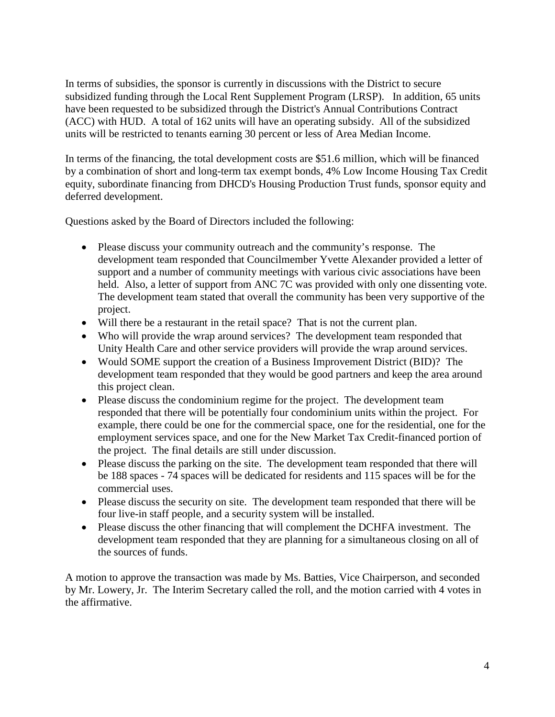In terms of subsidies, the sponsor is currently in discussions with the District to secure subsidized funding through the Local Rent Supplement Program (LRSP). In addition, 65 units have been requested to be subsidized through the District's Annual Contributions Contract (ACC) with HUD. A total of 162 units will have an operating subsidy. All of the subsidized units will be restricted to tenants earning 30 percent or less of Area Median Income.

In terms of the financing, the total development costs are \$51.6 million, which will be financed by a combination of short and long-term tax exempt bonds, 4% Low Income Housing Tax Credit equity, subordinate financing from DHCD's Housing Production Trust funds, sponsor equity and deferred development.

Questions asked by the Board of Directors included the following:

- Please discuss your community outreach and the community's response. The development team responded that Councilmember Yvette Alexander provided a letter of support and a number of community meetings with various civic associations have been held. Also, a letter of support from ANC 7C was provided with only one dissenting vote. The development team stated that overall the community has been very supportive of the project.
- Will there be a restaurant in the retail space? That is not the current plan.
- Who will provide the wrap around services? The development team responded that Unity Health Care and other service providers will provide the wrap around services.
- Would SOME support the creation of a Business Improvement District (BID)? The development team responded that they would be good partners and keep the area around this project clean.
- Please discuss the condominium regime for the project. The development team responded that there will be potentially four condominium units within the project. For example, there could be one for the commercial space, one for the residential, one for the employment services space, and one for the New Market Tax Credit-financed portion of the project. The final details are still under discussion.
- Please discuss the parking on the site. The development team responded that there will be 188 spaces - 74 spaces will be dedicated for residents and 115 spaces will be for the commercial uses.
- Please discuss the security on site. The development team responded that there will be four live-in staff people, and a security system will be installed.
- Please discuss the other financing that will complement the DCHFA investment. The development team responded that they are planning for a simultaneous closing on all of the sources of funds.

A motion to approve the transaction was made by Ms. Batties, Vice Chairperson, and seconded by Mr. Lowery, Jr. The Interim Secretary called the roll, and the motion carried with 4 votes in the affirmative.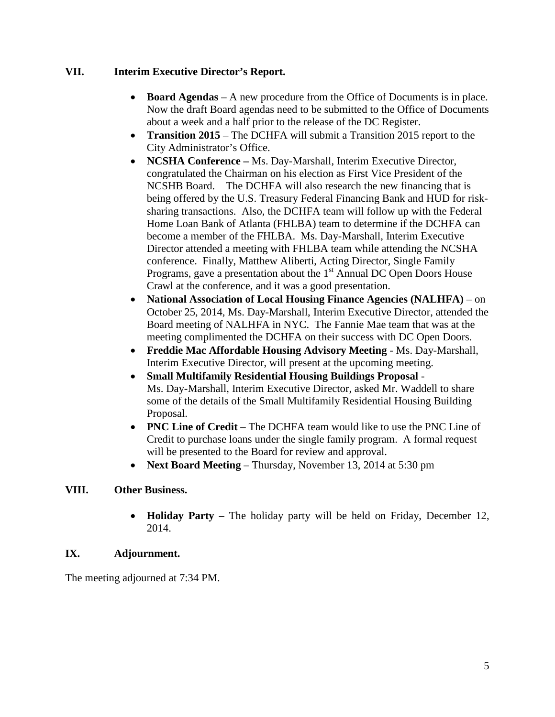### **VII. Interim Executive Director's Report.**

- **Board Agendas** A new procedure from the Office of Documents is in place. Now the draft Board agendas need to be submitted to the Office of Documents about a week and a half prior to the release of the DC Register.
- **Transition 2015** The DCHFA will submit a Transition 2015 report to the City Administrator's Office.
- **NCSHA Conference –** Ms. Day-Marshall, Interim Executive Director, congratulated the Chairman on his election as First Vice President of the NCSHB Board. The DCHFA will also research the new financing that is being offered by the U.S. Treasury Federal Financing Bank and HUD for risksharing transactions. Also, the DCHFA team will follow up with the Federal Home Loan Bank of Atlanta (FHLBA) team to determine if the DCHFA can become a member of the FHLBA. Ms. Day-Marshall, Interim Executive Director attended a meeting with FHLBA team while attending the NCSHA conference. Finally, Matthew Aliberti, Acting Director, Single Family Programs, gave a presentation about the  $1<sup>st</sup>$  Annual DC Open Doors House Crawl at the conference, and it was a good presentation.
- **National Association of Local Housing Finance Agencies (NALHFA)** on October 25, 2014, Ms. Day-Marshall, Interim Executive Director, attended the Board meeting of NALHFA in NYC. The Fannie Mae team that was at the meeting complimented the DCHFA on their success with DC Open Doors.
- **Freddie Mac Affordable Housing Advisory Meeting** Ms. Day-Marshall, Interim Executive Director, will present at the upcoming meeting.
- **Small Multifamily Residential Housing Buildings Proposal** Ms. Day-Marshall, Interim Executive Director, asked Mr. Waddell to share some of the details of the Small Multifamily Residential Housing Building Proposal.
- **PNC Line of Credit** The DCHFA team would like to use the PNC Line of Credit to purchase loans under the single family program. A formal request will be presented to the Board for review and approval.
- **Next Board Meeting** Thursday, November 13, 2014 at 5:30 pm

#### **VIII. Other Business.**

• **Holiday Party** – The holiday party will be held on Friday, December 12, 2014.

#### **IX. Adjournment.**

The meeting adjourned at 7:34 PM.